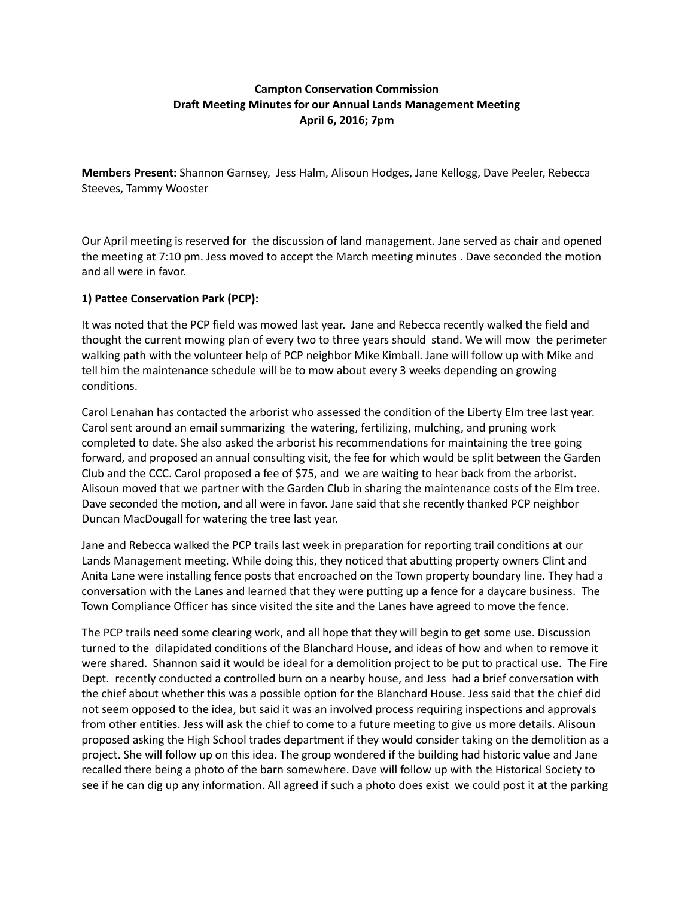## **Campton Conservation Commission Draft Meeting Minutes for our Annual Lands Management Meeting April 6, 2016; 7pm**

**Members Present:** Shannon Garnsey, Jess Halm, Alisoun Hodges, Jane Kellogg, Dave Peeler, Rebecca Steeves, Tammy Wooster

Our April meeting is reserved for the discussion of land management. Jane served as chair and opened the meeting at 7:10 pm. Jess moved to accept the March meeting minutes . Dave seconded the motion and all were in favor.

### **1) Pattee Conservation Park (PCP):**

It was noted that the PCP field was mowed last year. Jane and Rebecca recently walked the field and thought the current mowing plan of every two to three years should stand. We will mow the perimeter walking path with the volunteer help of PCP neighbor Mike Kimball. Jane will follow up with Mike and tell him the maintenance schedule will be to mow about every 3 weeks depending on growing conditions.

Carol Lenahan has contacted the arborist who assessed the condition of the Liberty Elm tree last year. Carol sent around an email summarizing the watering, fertilizing, mulching, and pruning work completed to date. She also asked the arborist his recommendations for maintaining the tree going forward, and proposed an annual consulting visit, the fee for which would be split between the Garden Club and the CCC. Carol proposed a fee of \$75, and we are waiting to hear back from the arborist. Alisoun moved that we partner with the Garden Club in sharing the maintenance costs of the Elm tree. Dave seconded the motion, and all were in favor. Jane said that she recently thanked PCP neighbor Duncan MacDougall for watering the tree last year.

Jane and Rebecca walked the PCP trails last week in preparation for reporting trail conditions at our Lands Management meeting. While doing this, they noticed that abutting property owners Clint and Anita Lane were installing fence posts that encroached on the Town property boundary line. They had a conversation with the Lanes and learned that they were putting up a fence for a daycare business. The Town Compliance Officer has since visited the site and the Lanes have agreed to move the fence.

The PCP trails need some clearing work, and all hope that they will begin to get some use. Discussion turned to the dilapidated conditions of the Blanchard House, and ideas of how and when to remove it were shared. Shannon said it would be ideal for a demolition project to be put to practical use. The Fire Dept. recently conducted a controlled burn on a nearby house, and Jess had a brief conversation with the chief about whether this was a possible option for the Blanchard House. Jess said that the chief did not seem opposed to the idea, but said it was an involved process requiring inspections and approvals from other entities. Jess will ask the chief to come to a future meeting to give us more details. Alisoun proposed asking the High School trades department if they would consider taking on the demolition as a project. She will follow up on this idea. The group wondered if the building had historic value and Jane recalled there being a photo of the barn somewhere. Dave will follow up with the Historical Society to see if he can dig up any information. All agreed if such a photo does exist we could post it at the parking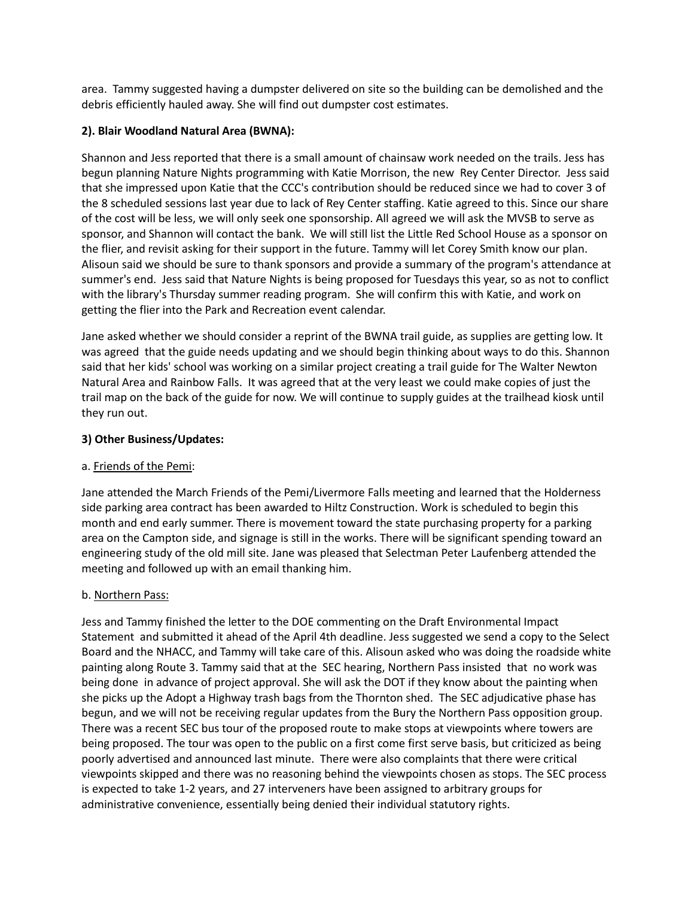area. Tammy suggested having a dumpster delivered on site so the building can be demolished and the debris efficiently hauled away. She will find out dumpster cost estimates.

## **2). Blair Woodland Natural Area (BWNA):**

Shannon and Jess reported that there is a small amount of chainsaw work needed on the trails. Jess has begun planning Nature Nights programming with Katie Morrison, the new Rey Center Director. Jess said that she impressed upon Katie that the CCC's contribution should be reduced since we had to cover 3 of the 8 scheduled sessions last year due to lack of Rey Center staffing. Katie agreed to this. Since our share of the cost will be less, we will only seek one sponsorship. All agreed we will ask the MVSB to serve as sponsor, and Shannon will contact the bank. We will still list the Little Red School House as a sponsor on the flier, and revisit asking for their support in the future. Tammy will let Corey Smith know our plan. Alisoun said we should be sure to thank sponsors and provide a summary of the program's attendance at summer's end. Jess said that Nature Nights is being proposed for Tuesdays this year, so as not to conflict with the library's Thursday summer reading program. She will confirm this with Katie, and work on getting the flier into the Park and Recreation event calendar.

Jane asked whether we should consider a reprint of the BWNA trail guide, as supplies are getting low. It was agreed that the guide needs updating and we should begin thinking about ways to do this. Shannon said that her kids' school was working on a similar project creating a trail guide for The Walter Newton Natural Area and Rainbow Falls. It was agreed that at the very least we could make copies of just the trail map on the back of the guide for now. We will continue to supply guides at the trailhead kiosk until they run out.

## **3) Other Business/Updates:**

### a. Friends of the Pemi:

Jane attended the March Friends of the Pemi/Livermore Falls meeting and learned that the Holderness side parking area contract has been awarded to Hiltz Construction. Work is scheduled to begin this month and end early summer. There is movement toward the state purchasing property for a parking area on the Campton side, and signage is still in the works. There will be significant spending toward an engineering study of the old mill site. Jane was pleased that Selectman Peter Laufenberg attended the meeting and followed up with an email thanking him.

# b. Northern Pass:

Jess and Tammy finished the letter to the DOE commenting on the Draft Environmental Impact Statement and submitted it ahead of the April 4th deadline. Jess suggested we send a copy to the Select Board and the NHACC, and Tammy will take care of this. Alisoun asked who was doing the roadside white painting along Route 3. Tammy said that at the SEC hearing, Northern Pass insisted that no work was being done in advance of project approval. She will ask the DOT if they know about the painting when she picks up the Adopt a Highway trash bags from the Thornton shed. The SEC adjudicative phase has begun, and we will not be receiving regular updates from the Bury the Northern Pass opposition group. There was a recent SEC bus tour of the proposed route to make stops at viewpoints where towers are being proposed. The tour was open to the public on a first come first serve basis, but criticized as being poorly advertised and announced last minute. There were also complaints that there were critical viewpoints skipped and there was no reasoning behind the viewpoints chosen as stops. The SEC process is expected to take 1-2 years, and 27 interveners have been assigned to arbitrary groups for administrative convenience, essentially being denied their individual statutory rights.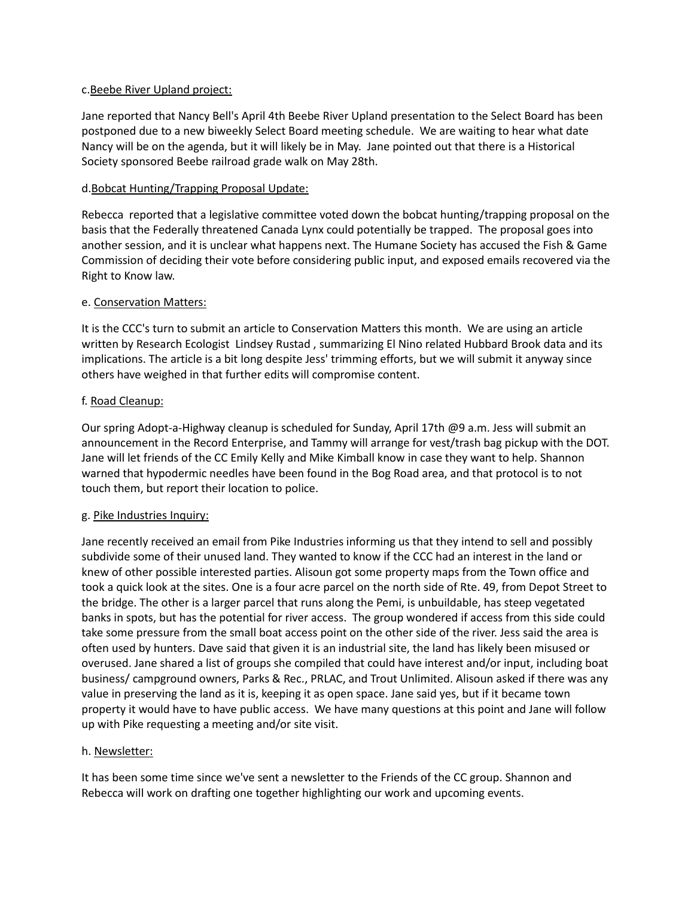#### c.Beebe River Upland project:

Jane reported that Nancy Bell's April 4th Beebe River Upland presentation to the Select Board has been postponed due to a new biweekly Select Board meeting schedule. We are waiting to hear what date Nancy will be on the agenda, but it will likely be in May. Jane pointed out that there is a Historical Society sponsored Beebe railroad grade walk on May 28th.

### d.Bobcat Hunting/Trapping Proposal Update:

Rebecca reported that a legislative committee voted down the bobcat hunting/trapping proposal on the basis that the Federally threatened Canada Lynx could potentially be trapped. The proposal goes into another session, and it is unclear what happens next. The Humane Society has accused the Fish & Game Commission of deciding their vote before considering public input, and exposed emails recovered via the Right to Know law.

### e. Conservation Matters:

It is the CCC's turn to submit an article to Conservation Matters this month. We are using an article written by Research Ecologist Lindsey Rustad , summarizing El Nino related Hubbard Brook data and its implications. The article is a bit long despite Jess' trimming efforts, but we will submit it anyway since others have weighed in that further edits will compromise content.

### f. Road Cleanup:

Our spring Adopt-a-Highway cleanup is scheduled for Sunday, April 17th @9 a.m. Jess will submit an announcement in the Record Enterprise, and Tammy will arrange for vest/trash bag pickup with the DOT. Jane will let friends of the CC Emily Kelly and Mike Kimball know in case they want to help. Shannon warned that hypodermic needles have been found in the Bog Road area, and that protocol is to not touch them, but report their location to police.

### g. Pike Industries Inquiry:

Jane recently received an email from Pike Industries informing us that they intend to sell and possibly subdivide some of their unused land. They wanted to know if the CCC had an interest in the land or knew of other possible interested parties. Alisoun got some property maps from the Town office and took a quick look at the sites. One is a four acre parcel on the north side of Rte. 49, from Depot Street to the bridge. The other is a larger parcel that runs along the Pemi, is unbuildable, has steep vegetated banks in spots, but has the potential for river access. The group wondered if access from this side could take some pressure from the small boat access point on the other side of the river. Jess said the area is often used by hunters. Dave said that given it is an industrial site, the land has likely been misused or overused. Jane shared a list of groups she compiled that could have interest and/or input, including boat business/ campground owners, Parks & Rec., PRLAC, and Trout Unlimited. Alisoun asked if there was any value in preserving the land as it is, keeping it as open space. Jane said yes, but if it became town property it would have to have public access. We have many questions at this point and Jane will follow up with Pike requesting a meeting and/or site visit.

### h. Newsletter:

It has been some time since we've sent a newsletter to the Friends of the CC group. Shannon and Rebecca will work on drafting one together highlighting our work and upcoming events.